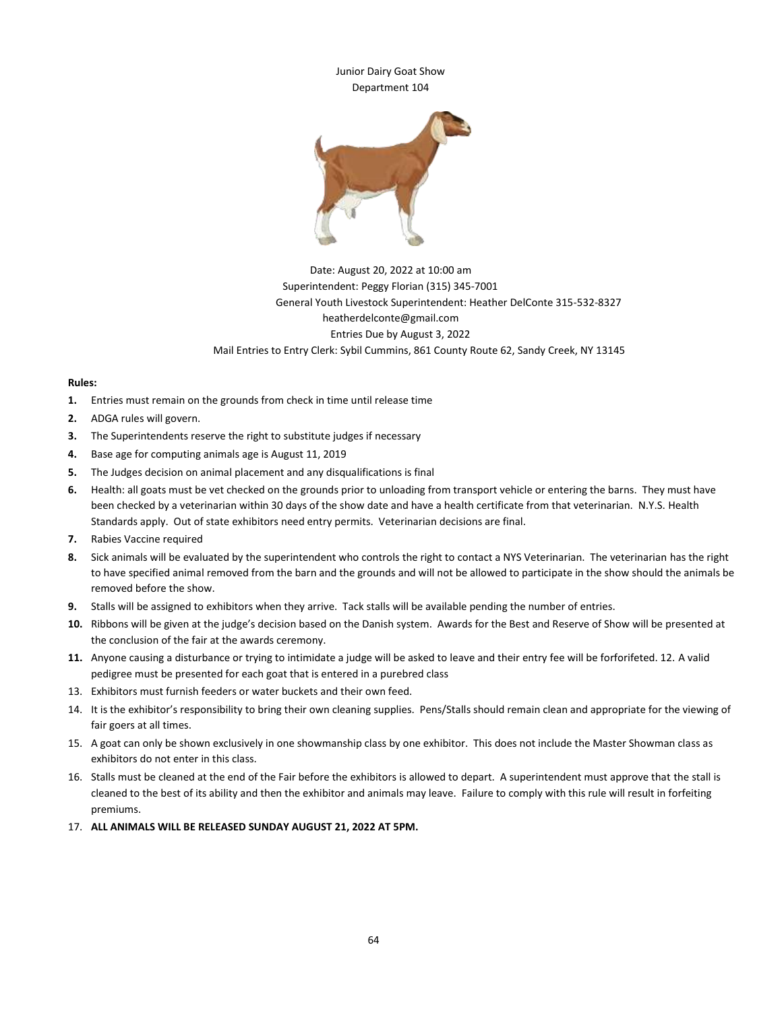

## Date: August 20, 2022 at 10:00 am Superintendent: Peggy Florian (315) 345-7001 General Youth Livestock Superintendent: Heather DelConte 315-532-8327 heatherdelconte@gmail.com Entries Due by August 3, 2022 Mail Entries to Entry Clerk: Sybil Cummins, 861 County Route 62, Sandy Creek, NY 13145

## **Rules:**

- **1.** Entries must remain on the grounds from check in time until release time
- **2.** ADGA rules will govern.
- **3.** The Superintendents reserve the right to substitute judges if necessary
- **4.** Base age for computing animals age is August 11, 2019
- **5.** The Judges decision on animal placement and any disqualifications is final
- **6.** Health: all goats must be vet checked on the grounds prior to unloading from transport vehicle or entering the barns. They must have been checked by a veterinarian within 30 days of the show date and have a health certificate from that veterinarian. N.Y.S. Health Standards apply. Out of state exhibitors need entry permits. Veterinarian decisions are final.
- **7.** Rabies Vaccine required
- **8.** Sick animals will be evaluated by the superintendent who controls the right to contact a NYS Veterinarian. The veterinarian has the right to have specified animal removed from the barn and the grounds and will not be allowed to participate in the show should the animals be removed before the show.
- **9.** Stalls will be assigned to exhibitors when they arrive. Tack stalls will be available pending the number of entries.
- **10.** Ribbons will be given at the judge's decision based on the Danish system. Awards for the Best and Reserve of Show will be presented at the conclusion of the fair at the awards ceremony.
- **11.** Anyone causing a disturbance or trying to intimidate a judge will be asked to leave and their entry fee will be forforifeted. 12. A valid pedigree must be presented for each goat that is entered in a purebred class
- 13. Exhibitors must furnish feeders or water buckets and their own feed.
- 14. It is the exhibitor's responsibility to bring their own cleaning supplies. Pens/Stalls should remain clean and appropriate for the viewing of fair goers at all times.
- 15. A goat can only be shown exclusively in one showmanship class by one exhibitor. This does not include the Master Showman class as exhibitors do not enter in this class.
- 16. Stalls must be cleaned at the end of the Fair before the exhibitors is allowed to depart. A superintendent must approve that the stall is cleaned to the best of its ability and then the exhibitor and animals may leave. Failure to comply with this rule will result in forfeiting premiums.
- 17. **ALL ANIMALS WILL BE RELEASED SUNDAY AUGUST 21, 2022 AT 5PM.**